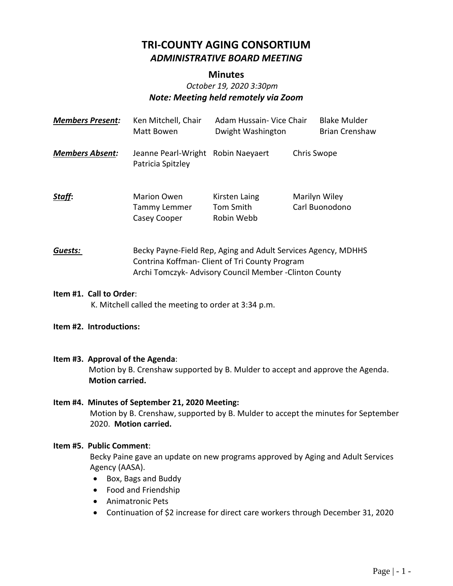# **TRI-COUNTY AGING CONSORTIUM** *ADMINISTRATIVE BOARD MEETING*

#### **Minutes**

# *October 19, 2020 3:30pm Note: Meeting held remotely via Zoom*

| <b>Members Present:</b> | Ken Mitchell, Chair<br>Matt Bowen                         | Adam Hussain- Vice Chair<br>Dwight Washington                                                                   |             | <b>Blake Mulder</b><br><b>Brian Crenshaw</b> |
|-------------------------|-----------------------------------------------------------|-----------------------------------------------------------------------------------------------------------------|-------------|----------------------------------------------|
| <b>Members Absent:</b>  | Jeanne Pearl-Wright Robin Naeyaert<br>Patricia Spitzley   |                                                                                                                 | Chris Swope |                                              |
| Staff:                  | <b>Marion Owen</b><br><b>Tammy Lemmer</b><br>Casey Cooper | Kirsten Laing<br>Tom Smith<br>Robin Webb                                                                        |             | Marilyn Wiley<br>Carl Buonodono              |
| Guests:                 |                                                           | Becky Payne-Field Rep, Aging and Adult Services Agency, MDHHS<br>Contrina Koffman- Client of Tri County Program |             |                                              |

#### **Item #1. Call to Order**:

K. Mitchell called the meeting to order at 3:34 p.m.

#### **Item #2. Introductions:**

#### **Item #3. Approval of the Agenda**:

Motion by B. Crenshaw supported by B. Mulder to accept and approve the Agenda. **Motion carried.**

Archi Tomczyk- Advisory Council Member -Clinton County

#### **Item #4. Minutes of September 21, 2020 Meeting:** Motion by B. Crenshaw, supported by B. Mulder to accept the minutes for September 2020. **Motion carried.**

#### **Item #5. Public Comment**:

Becky Paine gave an update on new programs approved by Aging and Adult Services Agency (AASA).

- Box, Bags and Buddy
- Food and Friendship
- Animatronic Pets
- Continuation of \$2 increase for direct care workers through December 31, 2020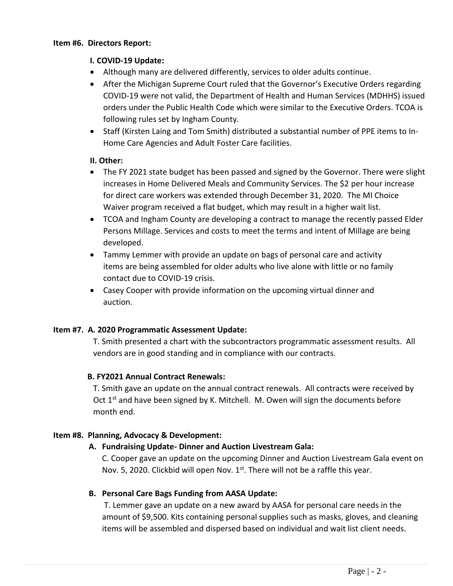#### **Item #6. Directors Report:**

#### **I. COVID-19 Update:**

- Although many are delivered differently, services to older adults continue.
- After the Michigan Supreme Court ruled that the Governor's Executive Orders regarding COVID-19 were not valid, the Department of Health and Human Services (MDHHS) issued orders under the Public Health Code which were similar to the Executive Orders. TCOA is following rules set by Ingham County.
- Staff (Kirsten Laing and Tom Smith) distributed a substantial number of PPE items to In-Home Care Agencies and Adult Foster Care facilities.

# **II. Other:**

- The FY 2021 state budget has been passed and signed by the Governor. There were slight increases in Home Delivered Meals and Community Services. The \$2 per hour increase for direct care workers was extended through December 31, 2020. The MI Choice Waiver program received a flat budget, which may result in a higher wait list.
- TCOA and Ingham County are developing a contract to manage the recently passed Elder Persons Millage. Services and costs to meet the terms and intent of Millage are being developed.
- Tammy Lemmer with provide an update on bags of personal care and activity items are being assembled for older adults who live alone with little or no family contact due to COVID-19 crisis.
- Casey Cooper with provide information on the upcoming virtual dinner and auction.

# **Item #7. A. 2020 Programmatic Assessment Update:**

T. Smith presented a chart with the subcontractors programmatic assessment results. All vendors are in good standing and in compliance with our contracts.

# **B. FY2021 Annual Contract Renewals:**

T. Smith gave an update on the annual contract renewals. All contracts were received by Oct  $1<sup>st</sup>$  and have been signed by K. Mitchell. M. Owen will sign the documents before month end.

# **Item #8. Planning, Advocacy & Development:**

# **A. Fundraising Update- Dinner and Auction Livestream Gala:**

C. Cooper gave an update on the upcoming Dinner and Auction Livestream Gala event on Nov. 5, 2020. Clickbid will open Nov.  $1<sup>st</sup>$ . There will not be a raffle this year.

#### **B. Personal Care Bags Funding from AASA Update:**

T. Lemmer gave an update on a new award by AASA for personal care needs in the amount of \$9,500. Kits containing personal supplies such as masks, gloves, and cleaning items will be assembled and dispersed based on individual and wait list client needs.